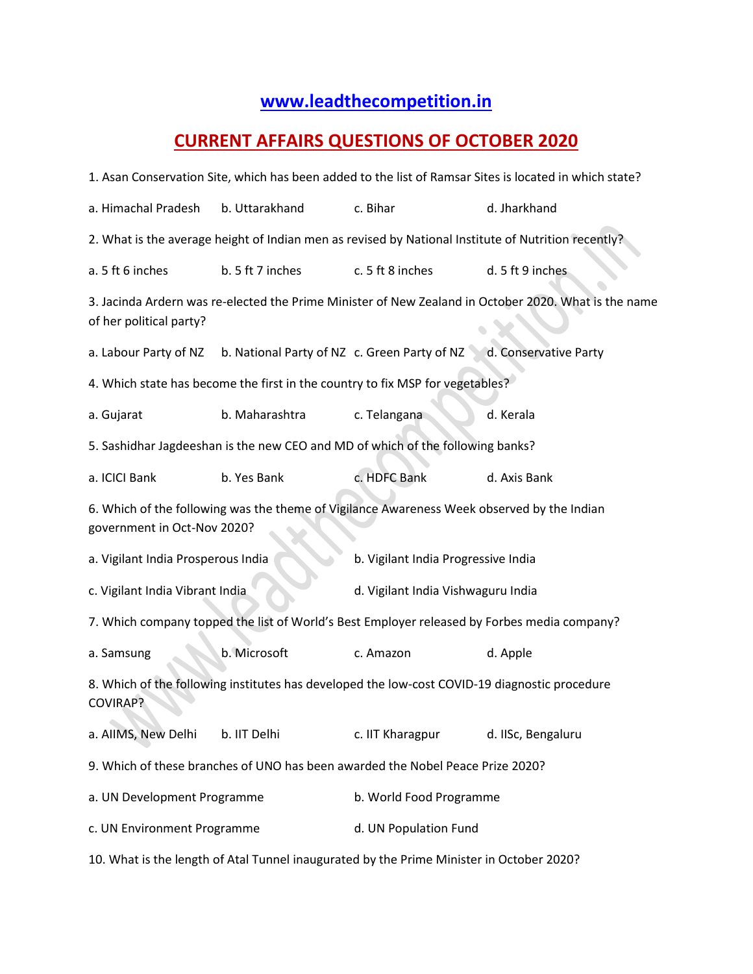## **[www.leadthecompetition.in](http://www.leadthecompetition.in/)**

## **CURRENT AFFAIRS QUESTIONS OF OCTOBER 2020**

| 1. Asan Conservation Site, which has been added to the list of Ramsar Sites is located in which state?    |                                              |                                                                                            |                                                                                                      |  |  |  |
|-----------------------------------------------------------------------------------------------------------|----------------------------------------------|--------------------------------------------------------------------------------------------|------------------------------------------------------------------------------------------------------|--|--|--|
| a. Himachal Pradesh                                                                                       | b. Uttarakhand                               | c. Bihar                                                                                   | d. Jharkhand                                                                                         |  |  |  |
|                                                                                                           |                                              |                                                                                            | 2. What is the average height of Indian men as revised by National Institute of Nutrition recently?  |  |  |  |
| a. 5 ft 6 inches                                                                                          | b. 5 ft 7 inches                             | c. 5 ft 8 inches                                                                           | d. 5 ft 9 inches                                                                                     |  |  |  |
| of her political party?                                                                                   |                                              |                                                                                            | 3. Jacinda Ardern was re-elected the Prime Minister of New Zealand in October 2020. What is the name |  |  |  |
| a. Labour Party of NZ                                                                                     | b. National Party of NZ c. Green Party of NZ |                                                                                            | d. Conservative Party                                                                                |  |  |  |
|                                                                                                           |                                              | 4. Which state has become the first in the country to fix MSP for vegetables?              |                                                                                                      |  |  |  |
| a. Gujarat                                                                                                | b. Maharashtra                               | c. Telangana                                                                               | d. Kerala                                                                                            |  |  |  |
| 5. Sashidhar Jagdeeshan is the new CEO and MD of which of the following banks?                            |                                              |                                                                                            |                                                                                                      |  |  |  |
| a. ICICI Bank                                                                                             | b. Yes Bank                                  | c. HDFC Bank                                                                               | d. Axis Bank                                                                                         |  |  |  |
| government in Oct-Nov 2020?                                                                               |                                              | 6. Which of the following was the theme of Vigilance Awareness Week observed by the Indian |                                                                                                      |  |  |  |
| a. Vigilant India Prosperous India                                                                        |                                              | b. Vigilant India Progressive India                                                        |                                                                                                      |  |  |  |
| c. Vigilant India Vibrant India                                                                           |                                              | d. Vigilant India Vishwaguru India                                                         |                                                                                                      |  |  |  |
| 7. Which company topped the list of World's Best Employer released by Forbes media company?               |                                              |                                                                                            |                                                                                                      |  |  |  |
| a. Samsung                                                                                                | b. Microsoft                                 | c. Amazon                                                                                  | d. Apple                                                                                             |  |  |  |
| 8. Which of the following institutes has developed the low-cost COVID-19 diagnostic procedure<br>COVIRAP? |                                              |                                                                                            |                                                                                                      |  |  |  |
| a. AllMS, New Delhi                                                                                       | b. IIT Delhi                                 | c. IIT Kharagpur                                                                           | d. IISc, Bengaluru                                                                                   |  |  |  |
|                                                                                                           |                                              | 9. Which of these branches of UNO has been awarded the Nobel Peace Prize 2020?             |                                                                                                      |  |  |  |
| a. UN Development Programme                                                                               |                                              | b. World Food Programme                                                                    |                                                                                                      |  |  |  |
| c. UN Environment Programme                                                                               |                                              | d. UN Population Fund                                                                      |                                                                                                      |  |  |  |
| 10. What is the length of Atal Tunnel inaugurated by the Prime Minister in October 2020?                  |                                              |                                                                                            |                                                                                                      |  |  |  |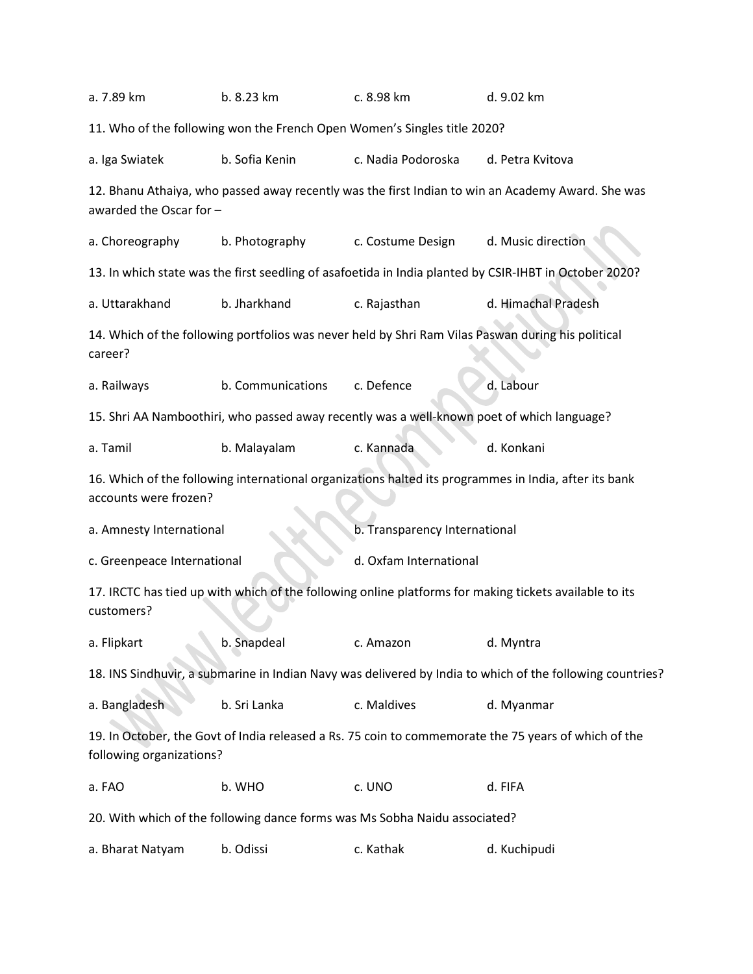| a. 7.89 km                  | b. 8.23 km        | c. 8.98 km                                                                                 | d. 9.02 km                                                                                                |  |  |
|-----------------------------|-------------------|--------------------------------------------------------------------------------------------|-----------------------------------------------------------------------------------------------------------|--|--|
|                             |                   | 11. Who of the following won the French Open Women's Singles title 2020?                   |                                                                                                           |  |  |
| a. Iga Swiatek              | b. Sofia Kenin    |                                                                                            | d. Petra Kvitova                                                                                          |  |  |
| awarded the Oscar for -     |                   |                                                                                            | 12. Bhanu Athaiya, who passed away recently was the first Indian to win an Academy Award. She was         |  |  |
| a. Choreography             | b. Photography    | c. Costume Design                                                                          | d. Music direction                                                                                        |  |  |
|                             |                   |                                                                                            | 13. In which state was the first seedling of asafoetida in India planted by CSIR-IHBT in October 2020?    |  |  |
| a. Uttarakhand              | b. Jharkhand      | c. Rajasthan                                                                               | d. Himachal Pradesh                                                                                       |  |  |
| career?                     |                   |                                                                                            | 14. Which of the following portfolios was never held by Shri Ram Vilas Paswan during his political        |  |  |
| a. Railways                 | b. Communications | c. Defence                                                                                 | d. Labour                                                                                                 |  |  |
|                             |                   | 15. Shri AA Namboothiri, who passed away recently was a well-known poet of which language? |                                                                                                           |  |  |
| b. Malayalam<br>a. Tamil    |                   | c. Kannada                                                                                 | d. Konkani                                                                                                |  |  |
| accounts were frozen?       |                   |                                                                                            | 16. Which of the following international organizations halted its programmes in India, after its bank     |  |  |
| a. Amnesty International    |                   | b. Transparency International                                                              |                                                                                                           |  |  |
| c. Greenpeace International |                   | d. Oxfam International                                                                     |                                                                                                           |  |  |
| customers?                  |                   |                                                                                            | 17. IRCTC has tied up with which of the following online platforms for making tickets available to its    |  |  |
| a. Flipkart                 | b. Snapdeal       | c. Amazon                                                                                  | d. Myntra                                                                                                 |  |  |
|                             |                   |                                                                                            | 18. INS Sindhuvir, a submarine in Indian Navy was delivered by India to which of the following countries? |  |  |
| a. Bangladesh               | b. Sri Lanka      | c. Maldives                                                                                | d. Myanmar                                                                                                |  |  |
| following organizations?    |                   |                                                                                            | 19. In October, the Govt of India released a Rs. 75 coin to commemorate the 75 years of which of the      |  |  |
| a. FAO                      | b. WHO            | c. UNO                                                                                     | d. FIFA                                                                                                   |  |  |
|                             |                   | 20. With which of the following dance forms was Ms Sobha Naidu associated?                 |                                                                                                           |  |  |
| a. Bharat Natyam            | b. Odissi         | c. Kathak                                                                                  | d. Kuchipudi                                                                                              |  |  |